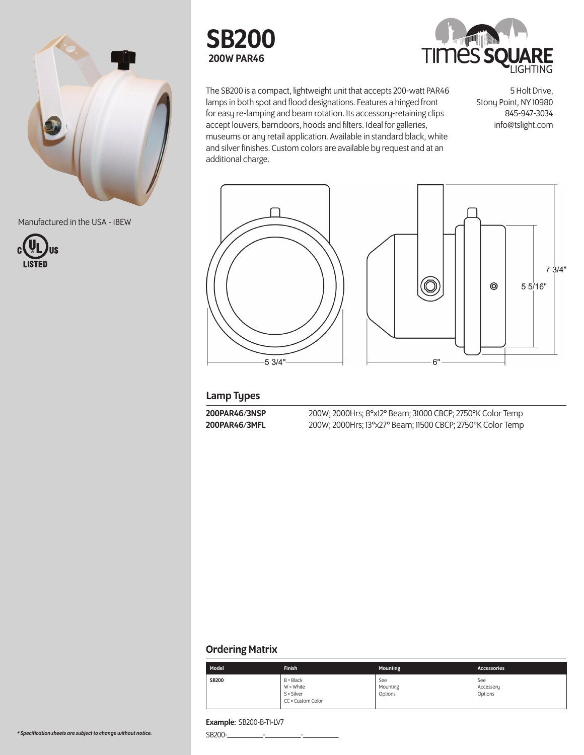

Manufactured in the USA - IBEW







The SB200 is a compact, lightweight unit that accepts 200-watt PAR46 lamps in both spot and flood designations. Features a hinged front for easy re-lamping and beam rotation. Its accessory-retaining clips accept louvers, barndoors, hoods and filters. Ideal for galleries, museums or any retail application. Available in standard black, white and silver finishes. Custom colors are available by request and at an additional charge.

5 Holt Drive, Stony Point, NY 10980 845-947-3034 info@tslight.com



# Lamp Types

200PAR46/3NSP 200W; 2000Hrs; 8°x12° Beam; 31000 CBCP; 2750°K Color Temp<br>200PAR46/3MFL 200W; 2000Hrs; 13°x27° Beam; 11500 CBCP; 2750°K Color Temp 200W; 2000Hrs; 13°x27° Beam; 11500 CBCP; 2750°K Color Temp

## Ordering Matrix

| Model        | <b>Finish</b>                                                   | Mounting                   | <b>Accessories</b>          |
|--------------|-----------------------------------------------------------------|----------------------------|-----------------------------|
| <b>SB200</b> | $B = Black$<br>$W = White$<br>$S = Silver$<br>CC = Custom Color | See<br>Mounting<br>Options | See<br>Accessory<br>Options |

# Example: SB200-B-T1-LV7

 $SB200$ - $\qquad$ -